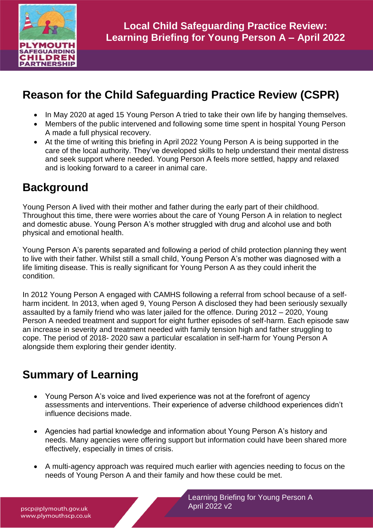

# **Reason for the Child Safeguarding Practice Review (CSPR)**

- In May 2020 at aged 15 Young Person A tried to take their own life by hanging themselves.
- Members of the public intervened and following some time spent in hospital Young Person A made a full physical recovery.
- At the time of writing this briefing in April 2022 Young Person A is being supported in the care of the local authority. They've developed skills to help understand their mental distress and seek support where needed. Young Person A feels more settled, happy and relaxed and is looking forward to a career in animal care.

### **Background**

Young Person A lived with their mother and father during the early part of their childhood. Throughout this time, there were worries about the care of Young Person A in relation to neglect and domestic abuse. Young Person A's mother struggled with drug and alcohol use and both physical and emotional health.

Young Person A's parents separated and following a period of child protection planning they went to live with their father. Whilst still a small child, Young Person A's mother was diagnosed with a life limiting disease. This is really significant for Young Person A as they could inherit the condition.

In 2012 Young Person A engaged with CAMHS following a referral from school because of a selfharm incident. In 2013, when aged 9, Young Person A disclosed they had been seriously sexually assaulted by a family friend who was later jailed for the offence. During 2012 – 2020, Young Person A needed treatment and support for eight further episodes of self-harm. Each episode saw an increase in severity and treatment needed with family tension high and father struggling to cope. The period of 2018- 2020 saw a particular escalation in self-harm for Young Person A alongside them exploring their gender identity.

# **Summary of Learning**

- Young Person A's voice and lived experience was not at the forefront of agency assessments and interventions. Their experience of adverse childhood experiences didn't influence decisions made.
- Agencies had partial knowledge and information about Young Person A's history and needs. Many agencies were offering support but information could have been shared more effectively, especially in times of crisis.
- A multi-agency approach was required much earlier with agencies needing to focus on the needs of Young Person A and their family and how these could be met.